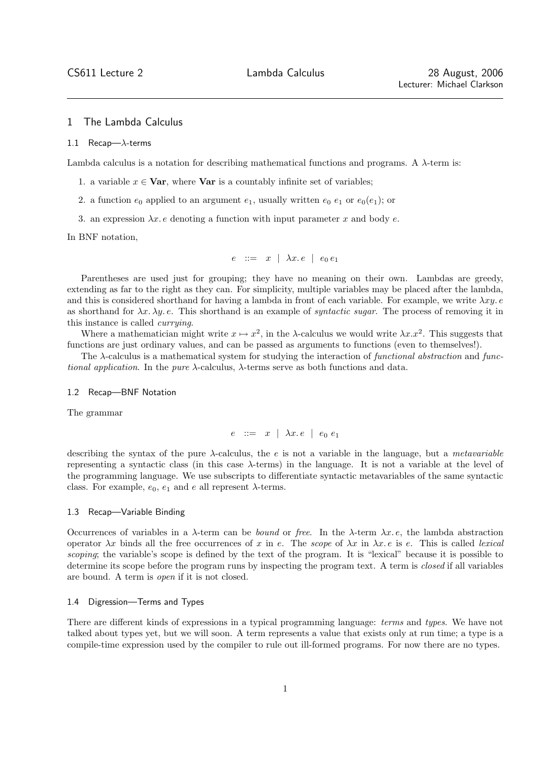# 1 The Lambda Calculus

#### 1.1 Recap— $\lambda$ -terms

Lambda calculus is a notation for describing mathematical functions and programs. A  $\lambda$ -term is:

- 1. a variable  $x \in \textbf{Var}$ , where  $\textbf{Var}$  is a countably infinite set of variables;
- 2. a function  $e_0$  applied to an argument  $e_1$ , usually written  $e_0$   $e_1$  or  $e_0(e_1)$ ; or
- 3. an expression  $\lambda x \cdot e$  denoting a function with input parameter x and body e.

In BNF notation,

$$
e \ ::= \ x \ | \ \lambda x.\, e \ | \ e_0 \, e_1
$$

Parentheses are used just for grouping; they have no meaning on their own. Lambdas are greedy, extending as far to the right as they can. For simplicity, multiple variables may be placed after the lambda, and this is considered shorthand for having a lambda in front of each variable. For example, we write  $\lambda xy$ . as shorthand for  $\lambda x. \lambda y. e$ . This shorthand is an example of *syntactic sugar*. The process of removing it in this instance is called currying.

Where a mathematician might write  $x \mapsto x^2$ , in the  $\lambda$ -calculus we would write  $\lambda x.x^2$ . This suggests that functions are just ordinary values, and can be passed as arguments to functions (even to themselves!).

The  $\lambda$ -calculus is a mathematical system for studying the interaction of functional abstraction and functional application. In the pure  $\lambda$ -calculus,  $\lambda$ -terms serve as both functions and data.

## 1.2 Recap—BNF Notation

The grammar

 $e$  ::=  $x \mid \lambda x.e \mid e_0 e_1$ 

describing the syntax of the pure  $\lambda$ -calculus, the e is not a variable in the language, but a *metavariable* representing a syntactic class (in this case λ-terms) in the language. It is not a variable at the level of the programming language. We use subscripts to differentiate syntactic metavariables of the same syntactic class. For example,  $e_0$ ,  $e_1$  and e all represent  $\lambda$ -terms.

### 1.3 Recap—Variable Binding

Occurrences of variables in a  $\lambda$ -term can be *bound* or free. In the  $\lambda$ -term  $\lambda x$ . e, the lambda abstraction operator  $\lambda x$  binds all the free occurrences of x in e. The scope of  $\lambda x$  in  $\lambda x$ . e is e. This is called lexical scoping; the variable's scope is defined by the text of the program. It is "lexical" because it is possible to determine its scope before the program runs by inspecting the program text. A term is closed if all variables are bound. A term is open if it is not closed.

### 1.4 Digression—Terms and Types

There are different kinds of expressions in a typical programming language: terms and types. We have not talked about types yet, but we will soon. A term represents a value that exists only at run time; a type is a compile-time expression used by the compiler to rule out ill-formed programs. For now there are no types.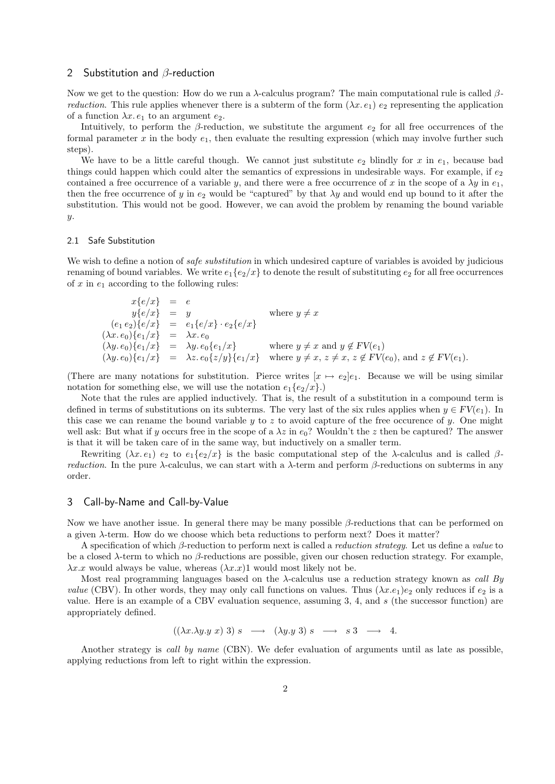## 2 Substitution and β-reduction

Now we get to the question: How do we run a  $\lambda$ -calculus program? The main computational rule is called  $\beta$ *reduction*. This rule applies whenever there is a subterm of the form  $(\lambda x. e_1) e_2$  representing the application of a function  $\lambda x.\, e_1$  to an argument  $e_2$ .

Intuitively, to perform the  $\beta$ -reduction, we substitute the argument  $e_2$  for all free occurrences of the formal parameter x in the body  $e_1$ , then evaluate the resulting expression (which may involve further such steps).

We have to be a little careful though. We cannot just substitute  $e_2$  blindly for x in  $e_1$ , because bad things could happen which could alter the semantics of expressions in undesirable ways. For example, if  $e_2$ contained a free occurrence of a variable y, and there were a free occurrence of x in the scope of a  $\lambda y$  in  $e_1$ , then the free occurrence of y in  $e_2$  would be "captured" by that  $\lambda y$  and would end up bound to it after the substitution. This would not be good. However, we can avoid the problem by renaming the bound variable y.

## 2.1 Safe Substitution

We wish to define a notion of *safe substitution* in which undesired capture of variables is avoided by judicious renaming of bound variables. We write  $e_1\{e_2/x\}$  to denote the result of substituting  $e_2$  for all free occurrences of x in  $e_1$  according to the following rules:

 $x\{e/x\} = e$  $y\{e/x\}$  = y where  $y \neq x$  $(e_1 e_2)\{e/x\} = e_1\{e/x\} \cdot e_2\{e/x\}$  $(\lambda x.\, e_0)\{e_1/x\} = \lambda x.\, e_0$  $(\lambda y. e_0){e_1/x}$  =  $\lambda y. e_0{e_1/x}$  where  $y \neq x$  and  $y \notin FV(e_1)$  $(\lambda y.\, e_0)\{e_1/x\}$  =  $\lambda z.\, e_0\{z/y\}\{e_1/x\}$  where  $y \neq x, z \neq x, z \notin FV(e_0)$ , and  $z \notin FV(e_1)$ .

(There are many notations for substitution. Pierce writes  $[x \mapsto e_2]e_1$ . Because we will be using similar notation for something else, we will use the notation  $e_1\{e_2/x\}$ .

Note that the rules are applied inductively. That is, the result of a substitution in a compound term is defined in terms of substitutions on its subterms. The very last of the six rules applies when  $y \in FV(e_1)$ . In this case we can rename the bound variable y to z to avoid capture of the free occurence of y. One might well ask: But what if y occurs free in the scope of a  $\lambda z$  in  $e_0$ ? Wouldn't the z then be captured? The answer is that it will be taken care of in the same way, but inductively on a smaller term.

Rewriting  $(\lambda x.\, e_1)\, e_2$  to  $e_1\{e_2/x\}$  is the basic computational step of the  $\lambda$ -calculus and is called  $\beta$ *reduction*. In the pure  $\lambda$ -calculus, we can start with a  $\lambda$ -term and perform  $\beta$ -reductions on subterms in any order.

## 3 Call-by-Name and Call-by-Value

Now we have another issue. In general there may be many possible β-reductions that can be performed on a given  $\lambda$ -term. How do we choose which beta reductions to perform next? Does it matter?

A specification of which  $\beta$ -reduction to perform next is called a *reduction strategy*. Let us define a *value* to be a closed  $\lambda$ -term to which no  $\beta$ -reductions are possible, given our chosen reduction strategy. For example,  $\lambda x.x$  would always be value, whereas  $(\lambda x.x)1$  would most likely not be.

Most real programming languages based on the  $\lambda$ -calculus use a reduction strategy known as *call By value* (CBV). In other words, they may only call functions on values. Thus  $(\lambda x.e_1)e_2$  only reduces if  $e_2$  is a value. Here is an example of a CBV evaluation sequence, assuming 3, 4, and s (the successor function) are appropriately defined.

$$
((\lambda x.\lambda y.y x) 3) s \longrightarrow (\lambda y.y 3) s \longrightarrow s 3 \longrightarrow 4.
$$

Another strategy is *call by name* (CBN). We defer evaluation of arguments until as late as possible, applying reductions from left to right within the expression.